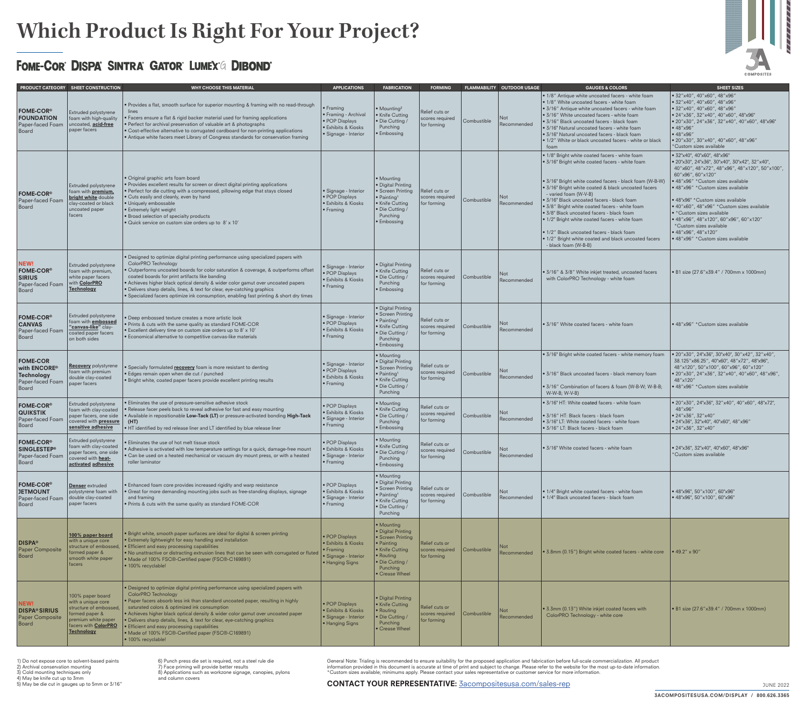General Note: Trialing is recommended to ensure suitability for the proposed application and fabrication before full-scale commercialization. All product information provided in this document is accurate at time of print and subject to change. Please refer to the website for the most up-to-date information. \*Custom sizes available; minimums apply. Please contact your sales representative or customer service for more information.

#### CONTACT YOUR REPRESENTATIVE: [3acompositesusa.com/sales-rep](https://3acompositesusa.com/sales-rep/)



# **Which Product Is Right For Your Project?**

### FOME-COR® DISPA® SINTRA® GATOR® LUMEX® DIBOND®

1) Do not expose core to solvent-based paints

2) Archival conservation mounting

3) Cold mounting techniques only

4) May be knife cut up to 3mm

5) May be die cut in gauges up to 5mm or 3/16"

6) Punch press die set is required, not a steel rule die

7) Face priming will provide better results

8) Applications such as workzone signage, canopies, pylons and column covers

|                                                                                        | PRODUCT CATEGORY SHEET CONSTRUCTION                                                                                                                           | <b>WHY CHOOSE THIS MATERIAL</b>                                                                                                                                                                                                                                                                                                                                                                                                                                                                                                                                    | <b>APPLICATIONS</b>                                                                                               | <b>FABRICATION</b>                                                                                                                                           | <b>FORMING</b>                                   |             | <b>FLAMMABILITY OUTDOOR USAGE</b> | <b>GAUGES &amp; COLORS</b>                                                                                                                                                                                                                                                                                                                                                                                                                                                                                                                                                       | <b>SHEET SIZES</b>                                                                                                                                                                                                                                                                                                                                                                                                                                                                                 |
|----------------------------------------------------------------------------------------|---------------------------------------------------------------------------------------------------------------------------------------------------------------|--------------------------------------------------------------------------------------------------------------------------------------------------------------------------------------------------------------------------------------------------------------------------------------------------------------------------------------------------------------------------------------------------------------------------------------------------------------------------------------------------------------------------------------------------------------------|-------------------------------------------------------------------------------------------------------------------|--------------------------------------------------------------------------------------------------------------------------------------------------------------|--------------------------------------------------|-------------|-----------------------------------|----------------------------------------------------------------------------------------------------------------------------------------------------------------------------------------------------------------------------------------------------------------------------------------------------------------------------------------------------------------------------------------------------------------------------------------------------------------------------------------------------------------------------------------------------------------------------------|----------------------------------------------------------------------------------------------------------------------------------------------------------------------------------------------------------------------------------------------------------------------------------------------------------------------------------------------------------------------------------------------------------------------------------------------------------------------------------------------------|
| <b>FOME-COR®</b><br><b>FOUNDATION</b><br>Paper-faced Foam<br>Board                     | <b>Extruded polystyrene</b><br>foam with high-quality<br>uncoated, <b>acid-free</b><br>paper facers                                                           | . Provides a flat, smooth surface for superior mounting & framing with no read-through<br>lines<br>• Facers ensure a flat & rigid backer material used for framing applications<br>• Perfect for archival preservation of valuable art & photographs<br>• Cost-effective alternative to corrugated cardboard for non-printing applications<br>• Antique white facers meet Library of Congress standards for conservation framing                                                                                                                                   | $\bullet$ Framing<br>• Framing - Archival<br>· POP Displays<br><b>Exhibits &amp; Kiosks</b><br>Signage - Interior | $\bullet$ Mounting <sup>2</sup><br>• Knife Cutting<br>· Die Cutting /<br>Punching<br>• Embossing                                                             | Relief cuts or<br>scores required<br>for forming | Combustible | Not<br>Recommended                | • 1/8" Antique white uncoated facers - white foam<br>• 1/8" White uncoated facers - white foam<br>$\cdot$ 3/16" Antique white uncoated facers - white foam<br>3/16" White uncoated facers - white foam<br>· 3/16" Black uncoated facers - black foam<br>• 3/16" Natural uncoated facers - white foam<br>3/16" Natural uncoated facers - black foam<br>. 1/2" White or black uncoated facers - white or black<br>foam                                                                                                                                                             | $\bullet$ 32"x40", 40"x60", 48"x96"<br>$\bullet$ 32"x40", 40"x60", 48"x96"<br>$\bullet$ 32"x40", 40"x60", 48"x96"<br>• 24"x36", 32"x40", 40"x60", 48"x96"<br> ● 20"x30", 24"x36", 32"x40", 40"x60", 48"x96"<br>$\cdot$ 48"x96"<br>•48''x96''<br>• 20"x30", 30"x40", 40"x60", 48"x96"<br>*Custom sizes available                                                                                                                                                                                    |
| FOME-COR <sup>®</sup><br>Paper-faced Foam<br>Board                                     | <b>Extruded polystyrene</b><br>foam with <b>premium</b> ,<br>bright white double<br>clay-coated or black<br>uncoated paper<br>facers                          | • Original graphic arts foam board<br>• Provides excellent results for screen or direct digital printing applications<br>. Perfect for die cutting with a compressed, pillowing edge that stays closed<br>• Cuts easily and cleanly, even by hand<br>· Uniquely embossable<br>• Extremely light weight<br>• Broad selection of specialty products<br>· Quick service on custom size orders up to 8' x 10'                                                                                                                                                          | Signage - Interior<br>• POP Displays<br><b>Exhibits &amp; Kiosks</b><br>$\bullet$ Framing                         | • Mounting<br>· Digital Printing<br>• Screen Printing<br>$\bullet$ Painting <sup>1</sup><br>• Knife Cutting<br>· Die Cutting /<br>Punching<br>• Embossing    | Relief cuts or<br>scores required<br>for forming | Combustible | Not<br>Recommended                | • 1/8" Bright white coated facers - white foam<br>• 3/16" Bright white coated facers - white foam<br>• 3/16" Bright white coated facers - black foam (W-B-W)<br>• 3/16" Bright white coated & black uncoated facers<br>- varied foam (W-V-B)<br>· 3/16" Black uncoated facers - black foam<br>• 3/8" Bright white coated facers - white foam<br>· 3/8" Black uncoated facers - black foam<br>. 1/2" Bright white coated facers - white foam<br>$\bullet$ 1/2" Black uncoated facers - black foam<br>• 1/2" Bright white coated and black uncoated facers<br>- black foam (W-B-B) | • 32"x40", 40"x60", 48"x96"<br>  • 20"x30", 24"x36", 30"x40", 30"x42", 32"x40",<br>40"x60", 48"x72", 48"x96", 48"x120", 50"x100",<br>60"x96", 60"x120"<br>• 48"x96" *Custom sizes available<br>• 48"x96" *Custom sizes available<br>• 48"x96" * Custom sizes available<br>$\bullet$ 40"x60", 48"x96" *Custom sizes available<br>• *Custom sizes available<br>• 48"x96", 48"x120", 60"x96", 60"x120"<br>*Custom sizes available<br>$\bullet$ 48"x96", 48"x120"<br>• 48"x96" *Custom sizes available |
| NEW!<br>FOME-COR <sup>®</sup><br><b>SIRIUS</b><br>Paper-faced Foam<br><b>Board</b>     | Extruded polystyrene<br>foam with premium,<br>white paper facers<br>with <b>ColorPRO</b><br>Technology                                                        | . Designed to optimize digital printing performance using specialized papers with<br>ColorPRO Technology<br>· Outperforms uncoated boards for color saturation & coverage, & outperforms offset<br>coated boards for print artifacts like banding<br>• Achieves higher black optical density & wider color gamut over uncoated papers<br>· Delivers sharp details, lines, & text for clear, eye-catching graphics<br>. Specialized facers optimize ink consumption, enabling fast printing & short dry times                                                       | · Signage - Interior<br>· POP Displays<br><b>•</b> Exhibits & Kiosks<br>$\cdot$ Framing                           | • Digital Printing<br>• Knife Cutting<br>· Die Cutting<br>Punching<br>• Embossing                                                                            | Relief cuts or<br>scores required<br>for forming | Combustible | <b>Not</b><br>Recommendec         | $\cdot$ 3/16" & 3/8" White inkjet treated, uncoated facers<br>with ColorPRO Technology - white foam                                                                                                                                                                                                                                                                                                                                                                                                                                                                              | $\cdot$ B1 size (27.6"x39.4" / 700mm x 1000mm)                                                                                                                                                                                                                                                                                                                                                                                                                                                     |
| FOME-COR <sup>®</sup><br><b>CANVAS</b><br>Paper-faced Foam<br>Board                    | <b>Extruded polystyrene</b><br>foam with <b>embossed</b><br>"canvas-like" clay-<br>coated paper facers<br>on both sides                                       | • Deep embossed texture creates a more artistic look<br>. Prints & cuts with the same quality as standard FOME-COR<br>· Excellent delivery time on custom size orders up to 8' x 10'<br>• Economical alternative to competitive canvas-like materials                                                                                                                                                                                                                                                                                                              | · Signage - Interior<br>· POP Displays<br><b>Exhibits &amp; Kiosks</b><br>$\bullet$ Framing                       | · Digital Printing<br>• Screen Printing<br>• Painting <sup>1</sup><br>• Knife Cutting<br>· Die Cutting<br>Punching<br>• Embossing                            | Relief cuts or<br>scores required<br>for forming | Combustible | Not<br>Recommended                | S/16" White coated facers - white foam                                                                                                                                                                                                                                                                                                                                                                                                                                                                                                                                           | ● 48"x96" *Custom sizes available                                                                                                                                                                                                                                                                                                                                                                                                                                                                  |
| <b>FOME-COR</b><br>with ENCORE <sup>®</sup><br>Technology<br>Paper-faced Foam<br>Board | <b>Recovery</b> polystyrene<br>foam with premium<br>double clay-coated<br>paper facers                                                                        | • Specially formulated <b>recovery</b> foam is more resistant to denting<br>· Edges remain open when die cut / punched<br>. Bright white, coated paper facers provide excellent printing results                                                                                                                                                                                                                                                                                                                                                                   | Signage - Interior<br>· POP Displays<br><b>Exhibits &amp; Kiosks</b><br>$\bullet$ Framing                         | • Mounting<br>· Digital Printing<br>• Screen Printing<br>$\bullet$ Painting <sup>1</sup><br>• Knife Cutting<br>· Die Cutting<br>Punching                     | Relief cuts or<br>scores required<br>for forming | Combustible | Not<br>Recommended                | • 3/16" Bright white coated facers - white memory foam<br>• 3/16" Black uncoated facers - black memory foam<br>● 3/16" Combination of facers & foam (W-B-W; W-B-B;<br>W-W-B; W-V-B)                                                                                                                                                                                                                                                                                                                                                                                              | • 20"x30", 24"x36", 30"x40", 30"x42", 32"x40",<br>38.125"x86.25", 40"x60", 48"x72", 48"x96",<br>48"x120", 50"x100", 60"x96", 60"x120"<br>$\bullet$ 20"x30", 24"x36", 32"x40", 40"x60", 48"x96",<br>48"x120"<br>• 48"x96" *Custom sizes available                                                                                                                                                                                                                                                   |
| <b>FOME-COR®</b><br><b>QUIKSTIK</b><br>Paper-faced Foam<br>Board                       | <b>Extruded polystyrene</b><br>foam with clay-coated<br>paper facers, one side<br>covered with <b>pressure</b><br>sensitive adhesive                          | • Eliminates the use of pressure-sensitive adhesive stock<br>. Release facer peels back to reveal adhesive for fast and easy mounting<br>. Available in repositionable Low-Tack (LT) or pressure-activated bonding High-Tack<br>(HT)<br>. HT identified by red release liner and LT identified by blue release liner                                                                                                                                                                                                                                               | • POP Displays<br><b>Exhibits &amp; Kiosks</b><br>· Signage - Interior<br>$\bullet$ Framing                       | • Mounting<br>• Knife Cutting<br>· Die Cutting /<br>Punching<br>• Embossing                                                                                  | Relief cuts or<br>scores required<br>for forming | Combustible | Not<br>Recommended                | • 3/16" HT: White coated facers - white foam<br>· 3/16" HT: Black facers - black foam<br>• 3/16" LT: White coated facers - white foam<br>· 3/16" LT: Black facers - black foam                                                                                                                                                                                                                                                                                                                                                                                                   | • 20"x30", 24"x36", 32"x40", 40"x60", 48"x72",<br>48"x96"<br>$\bullet$ 24"x36", 32"x40"<br> ● 24"x36", 32"x40", 40"x60", 48"x96"<br>$\bullet$ 24"x36", 32"x40"                                                                                                                                                                                                                                                                                                                                     |
| <b>FOME-COR®</b><br><b>SINGLESTEP®</b><br>Paper-faced Foam<br>Board                    | Extruded polystyrene<br>foam with clay-coated<br>paper facers, one side<br>covered with <b>heat-</b><br>activated adhesive                                    | • Eliminates the use of hot melt tissue stock<br>• Adhesive is activated with low temperature settings for a quick, damage-free mount<br>• Can be used on a heated mechanical or vacuum dry mount press, or with a heated<br>roller laminator                                                                                                                                                                                                                                                                                                                      | · POP Displays<br><b>Exhibits &amp; Kiosks</b><br>Signage - Interior<br>$\bullet$ Framing                         | • Mounting<br>• Knife Cutting<br>· Die Cutting<br>Punching<br>• Embossing                                                                                    | Relief cuts or<br>scores required<br>for forming | Combustible | <b>Not</b><br>Recommended         | S/16" White coated facers - white foam                                                                                                                                                                                                                                                                                                                                                                                                                                                                                                                                           | ● 24"x36", 32"x40", 40"x60", 48"x96"<br>*Custom sizes available                                                                                                                                                                                                                                                                                                                                                                                                                                    |
| FOME-COR <sup>®</sup><br><b>JETMOUNT</b><br>Paper-faced Foam<br>Board                  | <b>Denser</b> extruded<br>polystyrene foam with<br>double clay-coated<br>paper facers                                                                         | • Enhanced foam core provides increased rigidity and warp resistance<br>. Great for more demanding mounting jobs such as free-standing displays, signage<br>and framing<br>. Prints & cuts with the same quality as standard FOME-COR                                                                                                                                                                                                                                                                                                                              | • POP Displays<br><b>•</b> Exhibits & Kiosks<br>· Signage - Interior<br>$\bullet$ Framing                         | • Mounting<br>· Digital Printing<br>• Screen Printing<br>$\bullet$ Painting <sup>1</sup><br>• Knife Cutting<br>• Die Cutting /<br>Punching                   | Relief cuts or<br>scores required<br>for forming | Combustible | <b>Not</b><br>Recommended         | • 1/4" Bright white coated facers - white foam<br>• 1/4" Black uncoated facers - black foam                                                                                                                                                                                                                                                                                                                                                                                                                                                                                      | $\bullet$ 48"x96", 50"x100", 60"x96"<br>$\bullet$ 48"x96", 50"x100", 60"x96"                                                                                                                                                                                                                                                                                                                                                                                                                       |
| <b>DISPA®</b><br>Paper Composit<br>Board                                               | 100% paper board<br>with a unique core<br>structure of embossed<br>formed paper &<br>smooth white paper<br>facers                                             | • Bright white, smooth paper surfaces are ideal for digital & screen printing<br>• Extremely lightweight for easy handling and installation<br>• Efficient and easy processing capabilities<br>. No unattractive or distracting extrusion lines that can be seen with corrugated or fluted<br>• Made of 100% FSC®-Certified paper (FSC®-C169891)<br>· 100% recyclable!                                                                                                                                                                                             | • POP Displays<br><b>Exhibits &amp; Kiosks</b><br>$\bullet$ Framing<br>Signage - Interior<br>∣ ● Hanging Signs    | • Mounting<br>· Digital Printing<br>• Screen Printing<br>• Painting<br>• Knife Cutting<br>$\bullet$ Routing<br>· Die Cutting /<br>Punching<br>• Crease Wheel | Relief cuts or<br>scores required<br>for forming | Combustible | Not<br>Recommended                | • 3.8mm (0.15") Bright white coated facers - white core                                                                                                                                                                                                                                                                                                                                                                                                                                                                                                                          | $\bullet$ 49.2" x 90"                                                                                                                                                                                                                                                                                                                                                                                                                                                                              |
| <b>NEW!</b><br><b>DISPA® SIRIUS</b><br><b>Paper Composite</b><br>Board                 | 100% paper board<br>with a unique core<br>structure of embossed,<br>formed paper &<br>premium white paper<br>facers with <b>ColorPRO</b><br><b>Technology</b> | $\blacktriangleright$ Designed to optimize digital printing performance using specialized papers with<br><b>ColorPRO Technology</b><br>. Paper facers absorb less ink than standard uncoated paper, resulting in highly<br>saturated colors & optimized ink consumption<br>• Achieves higher black optical density & wider color gamut over uncoated paper<br>· Delivers sharp details, lines, & text for clear, eye-catching graphics<br>• Efficient and easy processing capabilities<br>• Made of 100% FSC®-Certified paper (FSC®-C169891)<br>· 100% recyclable! | • POP Displays<br>● Exhibits & Kiosks<br>Signage - Interior<br>Hanging Signs                                      | • Digital Printing<br>• Knife Cutting<br>• Routing<br>• Die Cutting /<br>Punching<br>• Crease Wheel                                                          | Relief cuts or<br>scores required<br>for forming | Combustible | Not<br>Recommended                | $\bullet$ 3.3mm (0.13") White inkjet coated facers with<br>ColorPRO Technology - white core                                                                                                                                                                                                                                                                                                                                                                                                                                                                                      | $\cdot$ B1 size (27.6"x39.4" / 700mm x 1000mm)                                                                                                                                                                                                                                                                                                                                                                                                                                                     |